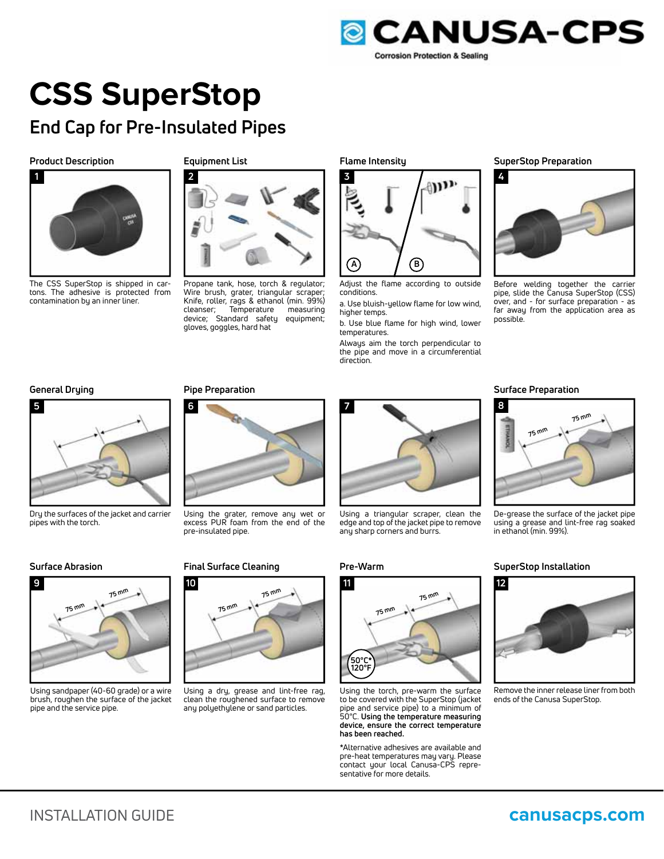

# **CSS SuperStop**

# **End Cap for Pre-Insulated Pipes**

### **Product Description Equipment List**



The CSS SuperStop is shipped in cartons. The adhesive is protected from contamination by an inner liner.



Propane tank, hose, torch & regulator; Wire brush, grater, triangular scraper; Knife, roller, rags & ethanol (min. 99%) cleanser; Temperature measuring device; Standard safety equipment; gloves, goggles, hard hat



Adjust the flame according to outside conditions.

a. Use bluish-yellow flame for low wind, higher temps.

b. Use blue flame for high wind, lower temperatures.

Always aim the torch perpendicular to the pipe and move in a circumferential direction.

### **Flame Intensity SuperStop Preparation**



Before welding together the carrier pipe, slide the Canusa SuperStop (CSS) over, and - for surface preparation - as far away from the application area as possible.



Dry the surfaces of the jacket and carrier pipes with the torch.



Using sandpaper (40-60 grade) or a wire brush, roughen the surface of the jacket pipe and the service pipe.



Using the grater, remove any wet or excess PUR foam from the end of the pre-insulated pipe.



Using a dry, grease and lint-free rag, clean the roughened surface to remove any polyethylene or sand particles.



edge and top of the jacket pipe to remove any sharp corners and burrs.



Using the torch, pre-warm the surface to be covered with the SuperStop (jacket pipe and service pipe) to a minimum of 50°C. **Using the temperature measuring device, ensure the correct temperature has been reached.** 

\*Alternative adhesives are available and pre-heat temperatures may vary. Please contact your local Canusa-CPS representative for more details.



De-grease the surface of the jacket pipe using a grease and lint-free rag soaked in ethanol (min. 99%).

### **Surface Abrasion Final Surface Cleaning Pre-Warm SuperStop Installation**



Remove the inner release liner from both ends of the Canusa SuperStop.

## INSTALLATION GUIDE **canusacps.com**

**7 General Drying Pipe Preparation Surface Preparation**